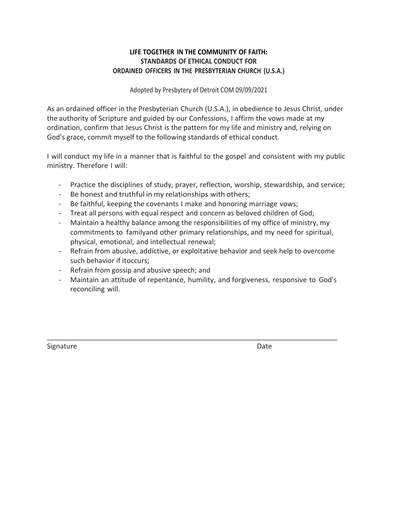## **LIFE TOGETHER IN THE COMMUNITY OF FAITH: STANDARDS OF ETHICAL CONDUCT FOR ORDAINED OFFICERS IN THE PRESBYTERIAN CHURCH (U.S.A.)**

Adopted by Presbytery of Detroit COM 09/09/2021

As an ordained officer in the Presbyterian Church (U.S.A.), in obedience to Jesus Christ, under the authority of Scripture and guided by our Confessions, I affirm the vows made at my ordination, confirm that Jesus Christ is the pattern for my life and ministry and, relying on God's grace, commit myself to the following standards of ethical conduct.

I will conduct my life in a manner that is faithful to the gospel and consistent with my public ministry. Therefore I will:

- Practice the disciplines of study, prayer, reflection, worship, stewardship, and service;
- Be honest and truthful in my relationships with others;
- Be faithful, keeping the covenants I make and honoring marriage vows;
- Treat all persons with equal respect and concern as beloved children of God;
- Maintain a healthy balance among the responsibilities of my office of ministry, my commitments to familyand other primary relationships, and my need for spiritual, physical, emotional, and intellectual renewal;
- Refrain from abusive, addictive, or exploitative behavior and seek help to overcome such behavior if itoccurs;
- Refrain from gossip and abusive speech; and
- Maintain an attitude of repentance, humility, and forgiveness, responsive to God's reconciling will.

\_\_\_\_\_\_\_\_\_\_\_\_\_\_\_\_\_\_\_\_\_\_\_\_\_\_\_\_\_\_\_\_\_\_\_\_\_\_\_\_\_\_\_\_\_\_\_\_\_\_\_\_\_\_\_\_\_\_\_\_\_\_\_\_\_\_\_\_\_\_\_\_\_\_\_

Signature Date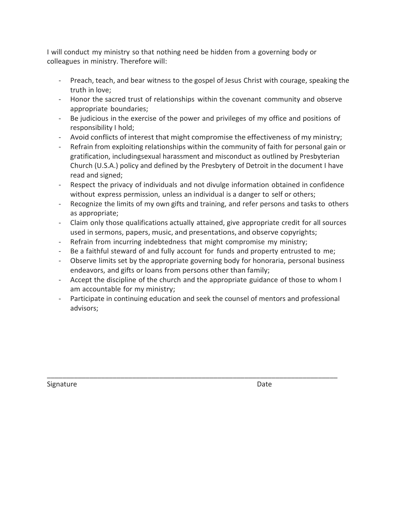I will conduct my ministry so that nothing need be hidden from a governing body or colleagues in ministry. Therefore will:

- Preach, teach, and bear witness to the gospel of Jesus Christ with courage, speaking the truth in love;
- Honor the sacred trust of relationships within the covenant community and observe appropriate boundaries;
- Be judicious in the exercise of the power and privileges of my office and positions of responsibility I hold;
- Avoid conflicts of interest that might compromise the effectiveness of my ministry;
- Refrain from exploiting relationships within the community of faith for personal gain or gratification, includingsexual harassment and misconduct as outlined by Presbyterian Church (U.S.A.) policy and defined by the Presbytery of Detroit in the document I have read and signed;
- Respect the privacy of individuals and not divulge information obtained in confidence without express permission, unless an individual is a danger to self or others;
- Recognize the limits of my own gifts and training, and refer persons and tasks to others as appropriate;
- Claim only those qualifications actually attained, give appropriate credit for all sources used in sermons, papers, music, and presentations, and observe copyrights;
- Refrain from incurring indebtedness that might compromise my ministry;
- Be a faithful steward of and fully account for funds and property entrusted to me;
- Observe limits set by the appropriate governing body for honoraria, personal business endeavors, and gifts or loans from persons other than family;
- Accept the discipline of the church and the appropriate guidance of those to whom I am accountable for my ministry;
- Participate in continuing education and seek the counsel of mentors and professional advisors;

\_\_\_\_\_\_\_\_\_\_\_\_\_\_\_\_\_\_\_\_\_\_\_\_\_\_\_\_\_\_\_\_\_\_\_\_\_\_\_\_\_\_\_\_\_\_\_\_\_\_\_\_\_\_\_\_\_\_\_\_\_\_\_\_\_\_\_\_\_\_\_\_\_\_\_